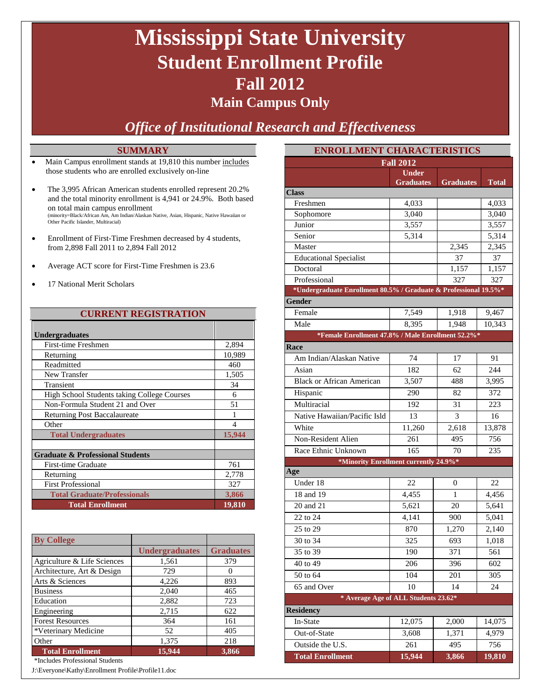# **Mississippi State University Student Enrollment Profile Fall 2012**

### **Main Campus Only**

### *Office of Institutional Research and Effectiveness*

#### **SUMMARY**

- Main Campus enrollment stands at 19,810 this number includes those students who are enrolled exclusively on-line
- The 3,995 African American students enrolled represent 20.2% and the total minority enrollment is 4,941 or 24.9%. Both based on total main campus enrollment (minority=Black/African Am, Am Indian/Alaskan Native, Asian, Hispanic, Native Hawaiian or Other Pacific Islander, Multiracial)
- Enrollment of First-Time Freshmen decreased by 4 students, from 2,898 Fall 2011 to 2,894 Fall 2012
- Average ACT score for First-Time Freshmen is 23.6
- 17 National Merit Scholars

#### **CURRENT REGISTRATION**

| <b>Undergraduates</b>                       |               |
|---------------------------------------------|---------------|
| <b>First-time Freshmen</b>                  | 2,894         |
| Returning                                   | 10,989        |
| Readmitted                                  | 460           |
| New Transfer                                | 1,505         |
| Transient                                   | 34            |
| High School Students taking College Courses | 6             |
| Non-Formula Student 21 and Over             | 51            |
| <b>Returning Post Baccalaureate</b>         | 1             |
| Other                                       | 4             |
| <b>Total Undergraduates</b>                 | 15,944        |
|                                             |               |
| <b>Graduate &amp; Professional Students</b> |               |
| First-time Graduate                         | 761           |
| Returning                                   | 2,778         |
| <b>First Professional</b>                   | 327           |
| <b>Total Graduate/Professionals</b>         | 3,866         |
| <b>Total Enrollment</b>                     | <u>19,810</u> |

| <b>By College</b>           |                       |                  |
|-----------------------------|-----------------------|------------------|
|                             | <b>Undergraduates</b> | <b>Graduates</b> |
| Agriculture & Life Sciences | 1,561                 | 379              |
| Architecture, Art & Design  | 729                   |                  |
| Arts & Sciences             | 4,226                 | 893              |
| <b>Business</b>             | 2,040                 | 465              |
| Education                   | 2,882                 | 723              |
| Engineering                 | 2,715                 | 622              |
| <b>Forest Resources</b>     | 364                   | 161              |
| *Veterinary Medicine        | 52                    | 405              |
| Other                       | 1,375                 | 218              |
| <b>Total Enrollment</b>     | 15,944                | 3,866            |

\*Includes Professional Students

J:\Everyone\Kathy\Enrollment Profile\Profile11.doc

| <b>ENROLLMENT CHARACTERISTICS</b>                                |                  |                  |                |  |  |
|------------------------------------------------------------------|------------------|------------------|----------------|--|--|
|                                                                  | <b>Fall 2012</b> |                  |                |  |  |
|                                                                  | <b>Under</b>     |                  |                |  |  |
|                                                                  | <b>Graduates</b> | <b>Graduates</b> | <b>Total</b>   |  |  |
| <b>Class</b><br>Freshmen                                         |                  |                  |                |  |  |
| Sophomore                                                        | 4,033<br>3,040   |                  | 4,033<br>3,040 |  |  |
| Junior                                                           | 3,557            |                  | 3,557          |  |  |
| Senior                                                           | 5,314            |                  | 5,314          |  |  |
| Master                                                           |                  | 2,345            | 2,345          |  |  |
| <b>Educational Specialist</b>                                    |                  | 37               | 37             |  |  |
| Doctoral                                                         |                  | 1,157            | 1,157          |  |  |
| Professional                                                     |                  | 327              | 327            |  |  |
| *Undergraduate Enrollment 80.5% / Graduate & Professional 19.5%* |                  |                  |                |  |  |
| Gender                                                           |                  |                  |                |  |  |
| Female                                                           | 7,549            | 1,918            | 9,467          |  |  |
| Male                                                             | 8,395            | 1,948            | 10,343         |  |  |
| *Female Enrollment 47.8% / Male Enrollment 52.2%*                |                  |                  |                |  |  |
| Race                                                             |                  |                  |                |  |  |
| Am Indian/Alaskan Native                                         | 74               | 17               | 91             |  |  |
| Asian                                                            | 182              | 62               | 244            |  |  |
| <b>Black or African American</b>                                 | 3,507            | 488              | 3,995          |  |  |
| Hispanic                                                         | 290              | 82               | 372            |  |  |
| Multiracial                                                      | 192              | 31               | 223            |  |  |
| Native Hawaiian/Pacific Isld                                     | 13               | 3                | 16             |  |  |
| White                                                            | 11,260           | 2,618            | 13,878         |  |  |
| Non-Resident Alien                                               | 261              | 495              | 756            |  |  |
| Race Ethnic Unknown                                              | 165              | 70               | 235            |  |  |
| *Minority Enrollment currently 24.9%*                            |                  |                  |                |  |  |
| Age                                                              |                  |                  |                |  |  |
| Under 18                                                         | 22               | $\overline{0}$   | 22             |  |  |
| 18 and 19                                                        | 4,455            | 1                | 4,456          |  |  |
| 20 and 21                                                        | 5,621            | 20               | 5,641          |  |  |
| 22 to 24                                                         | 4,141            | 900              | 5,041          |  |  |
| 25 to 29                                                         | 870              | 1,270            | 2,140          |  |  |
| 30 to 34                                                         | 325              | 693              | 1,018          |  |  |
| 35 to 39                                                         | 190              | 371              | 561            |  |  |
| 40 to 49                                                         | 206              | 396              | 602            |  |  |
| 50 to 64                                                         | 104              | 201              | 305            |  |  |
| 65 and Over                                                      | 10               | 14               | 24             |  |  |
| * Average Age of ALL Students 23.62*                             |                  |                  |                |  |  |
| <b>Residency</b>                                                 |                  |                  |                |  |  |
| In-State                                                         | 12,075           | 2,000            | 14,075         |  |  |
| Out-of-State                                                     | 3,608            | 1,371            | 4,979          |  |  |
| Outside the U.S.                                                 | 261              | 495              | 756            |  |  |
| <b>Total Enrollment</b>                                          | 15,944           | 3,866            | 19,810         |  |  |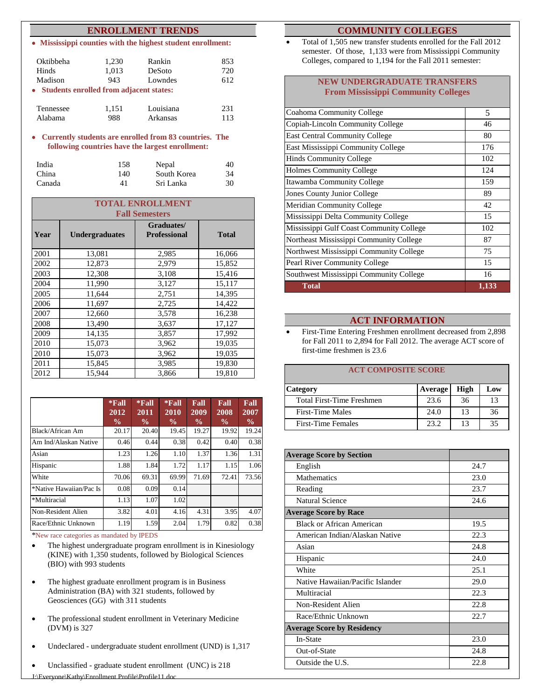#### **ENROLLMENT TRENDS**

• **Mississippi counties with the highest student enrollment:**

| Oktibbeha                                 | 1,230        | Rankin            | 853        |
|-------------------------------------------|--------------|-------------------|------------|
| <b>Hinds</b><br>Madison                   | 1,013<br>943 | DeSoto<br>Lowndes | 720<br>612 |
| • Students enrolled from adjacent states: |              |                   |            |
| Tennessee                                 | 1,151        | Louisiana         | 231        |
| Alabama                                   | 988          | Arkansas          | 113        |

• **Currently students are enrolled from 83 countries. The following countries have the largest enrollment:**

| India  | 158 | Nepal       | 40 |
|--------|-----|-------------|----|
| China  | 140 | South Korea | 34 |
| Canada | 41  | Sri Lanka   | 30 |

|      | <b>TOTAL ENROLLMENT</b> |                                   |              |  |  |  |
|------|-------------------------|-----------------------------------|--------------|--|--|--|
|      |                         | <b>Fall Semesters</b>             |              |  |  |  |
| Year | <b>Undergraduates</b>   | Graduates/<br><b>Professional</b> | <b>Total</b> |  |  |  |
| 2001 | 13,081                  | 2,985                             | 16,066       |  |  |  |
| 2002 | 12,873                  | 2,979                             | 15,852       |  |  |  |
| 2003 | 12,308                  | 3,108                             | 15,416       |  |  |  |
| 2004 | 11,990                  | 3,127                             | 15,117       |  |  |  |
| 2005 | 11,644                  | 2,751                             | 14,395       |  |  |  |
| 2006 | 11,697                  | 2,725                             | 14,422       |  |  |  |
| 2007 | 12,660                  | 3,578                             | 16,238       |  |  |  |
| 2008 | 13.490                  | 3,637                             | 17,127       |  |  |  |
| 2009 | 14,135                  | 3,857                             | 17,992       |  |  |  |
| 2010 | 15,073                  | 3,962                             | 19,035       |  |  |  |
| 2010 | 15,073                  | 3,962                             | 19,035       |  |  |  |
| 2011 | 15,845                  | 3,985                             | 19,830       |  |  |  |
| 2012 | 15,944                  | 3,866                             | 19,810       |  |  |  |

|                         | $*$ Fall<br>2012<br>$\frac{0}{0}$ | $*$ Fall<br>2011<br>$\frac{6}{9}$ | $*$ Fall<br>2010<br>$\frac{0}{0}$ | Fall<br>2009<br>$\frac{0}{0}$ | Fall<br>2008<br>$\frac{0}{0}$ | Fall<br>2007<br>$\frac{0}{0}$ |
|-------------------------|-----------------------------------|-----------------------------------|-----------------------------------|-------------------------------|-------------------------------|-------------------------------|
| Black/African Am        | 20.17                             | 20.40                             | 19.45                             | 19.27                         | 19.92                         | 19.24                         |
| Am Ind/Alaskan Native   | 0.46                              | 0.44                              | 0.38                              | 0.42                          | 0.40                          | 0.38                          |
| Asian                   | 1.23                              | 1.26                              | 1.10                              | 1.37                          | 1.36                          | 1.31                          |
| Hispanic                | 1.88                              | 1.84                              | 1.72                              | 1.17                          | 1.15                          | 1.06                          |
| White                   | 70.06                             | 69.31                             | 69.99                             | 71.69                         | 72.41                         | 73.56                         |
| *Native Hawaiian/Pac Is | 0.08                              | 0.09                              | 0.14                              |                               |                               |                               |
| *Multiracial            | 1.13                              | 1.07                              | 1.02                              |                               |                               |                               |
| Non-Resident Alien      | 3.82                              | 4.01                              | 4.16                              | 4.31                          | 3.95                          | 4.07                          |
| Race/Ethnic Unknown     | 1.19                              | 1.59                              | 2.04                              | 1.79                          | 0.82                          | 0.38                          |

\*New race categories as mandated by IPEDS

- The highest undergraduate program enrollment is in Kinesiology (KINE) with 1,350 students, followed by Biological Sciences (BIO) with 993 students
- The highest graduate enrollment program is in Business Administration (BA) with 321 students, followed by Geosciences (GG) with 311 students
- The professional student enrollment in Veterinary Medicine (DVM) is 327
- Undeclared undergraduate student enrollment (UND) is 1,317
- Unclassified graduate student enrollment (UNC) is 218

#### **COMMUNITY COLLEGES**

• Total of 1,505 new transfer students enrolled for the Fall 2012 semester. Of those, 1,133 were from Mississippi Community Colleges, compared to 1,194 for the Fall 2011 semester:

#### **NEW UNDERGRADUATE TRANSFERS From Mississippi Community Colleges**

| Coahoma Community College                | 5     |
|------------------------------------------|-------|
| Copiah-Lincoln Community College         | 46    |
| <b>East Central Community College</b>    | 80    |
| East Mississippi Community College       | 176   |
| <b>Hinds Community College</b>           | 102   |
| <b>Holmes Community College</b>          | 124   |
| Itawamba Community College               | 159   |
| Jones County Junior College              | 89    |
| Meridian Community College               | 42    |
| Mississippi Delta Community College      | 15    |
| Mississippi Gulf Coast Community College | 102   |
| Northeast Mississippi Community College  | 87    |
| Northwest Mississippi Community College  | 75    |
| Pearl River Community College            | 15    |
| Southwest Mississippi Community College  | 16    |
| Total                                    | 1,133 |

#### **ACT INFORMATION**

• First-Time Entering Freshmen enrollment decreased from 2,898 for Fall 2011 to 2,894 for Fall 2012. The average ACT score of first-time freshmen is 23.6

#### **ACT COMPOSITE SCORE**

| <b>Category</b>           | Average | High | Low |
|---------------------------|---------|------|-----|
| Total First-Time Freshmen | 23.6    | 36   | 13  |
| First-Time Males          | 24.0    | 13   | 36  |
| <b>First-Time Females</b> | 23.2    | 13   | 35  |

| <b>Average Score by Section</b>   |      |
|-----------------------------------|------|
| English                           | 24.7 |
| <b>Mathematics</b>                | 23.0 |
| Reading                           | 23.7 |
| Natural Science                   | 24.6 |
| <b>Average Score by Race</b>      |      |
| Black or African American         | 19.5 |
| American Indian/Alaskan Native    | 22.3 |
| Asian                             | 24.8 |
| Hispanic                          | 24.0 |
| White                             | 25.1 |
| Native Hawaiian/Pacific Islander  | 29.0 |
| Multiracial                       | 22.3 |
| Non-Resident Alien                | 22.8 |
| Race/Ethnic Unknown               | 22.7 |
| <b>Average Score by Residency</b> |      |
| In-State                          | 23.0 |
| Out-of-State                      | 24.8 |
| Outside the U.S.                  | 22.8 |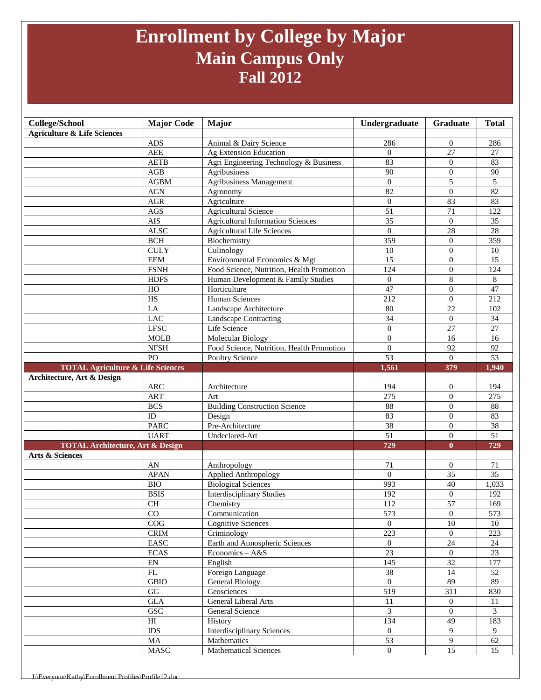## **Enrollment by College by Major Main Campus Only Fall 2012**

| College/School                               | <b>Major Code</b>                | Major                                     | Undergraduate    | Graduate         | <b>Total</b>    |
|----------------------------------------------|----------------------------------|-------------------------------------------|------------------|------------------|-----------------|
| <b>Agriculture &amp; Life Sciences</b>       |                                  |                                           |                  |                  |                 |
|                                              | <b>ADS</b>                       | Animal & Dairy Science                    | 286              | $\overline{0}$   | 286             |
|                                              | $\mathbf{A}\mathbf{E}\mathbf{E}$ | Ag Extension Education                    | $\overline{0}$   | 27               | 27              |
|                                              | <b>AETB</b>                      | Agri Engineering Technology & Business    | 83               | $\theta$         | 83              |
|                                              | AGB                              | Agribusiness                              | 90               | $\theta$         | 90              |
|                                              | ${\bf AGBM}$                     | <b>Agribusiness Management</b>            | $\Omega$         | 5                | 5               |
|                                              | <b>AGN</b>                       | Agronomy                                  | 82               | $\mathbf{0}$     | $\overline{82}$ |
|                                              | AGR                              | Agriculture                               | $\mathbf{0}$     | 83               | 83              |
|                                              | $\rm{AGS}$                       | Agricultural Science                      | 51               | 71               | 122             |
|                                              | AIS                              | <b>Agricultural Information Sciences</b>  | $\overline{35}$  | $\mathbf{0}$     | 35              |
|                                              | <b>ALSC</b>                      | <b>Agricultural Life Sciences</b>         | $\theta$         | $\overline{28}$  | $\overline{28}$ |
|                                              | <b>BCH</b>                       | Biochemistry                              | 359              | $\overline{0}$   | 359             |
|                                              | <b>CULY</b>                      | Culinology                                | 10               | $\overline{0}$   | 10              |
|                                              | <b>EEM</b>                       | Environmental Economics & Mgt             | 15               | $\mathbf{0}$     | 15              |
|                                              | <b>FSNH</b>                      | Food Science, Nutrition, Health Promotion | 124              | $\overline{0}$   | 124             |
|                                              | <b>HDFS</b>                      | Human Development & Family Studies        | $\mathbf{0}$     | 8                | $8\,$           |
|                                              | $_{\rm HO}$                      | Horticulture                              | 47               | $\mathbf{0}$     | 47              |
|                                              | $\overline{HS}$                  | Human Sciences                            | $\overline{212}$ | $\boldsymbol{0}$ | 212             |
|                                              | LA                               | Landscape Architecture                    | 80               | $\overline{22}$  | 102             |
|                                              | <b>LAC</b>                       | <b>Landscape Contracting</b>              | 34               | $\mathbf{0}$     | 34              |
|                                              | <b>LFSC</b>                      | Life Science                              | $\theta$         | 27               | 27              |
|                                              | <b>MOLB</b>                      | Molecular Biology                         | $\theta$         | 16               | 16              |
|                                              | <b>NFSH</b>                      | Food Science, Nutrition, Health Promotion | $\overline{0}$   | 92               | 92              |
|                                              | $\overline{PQ}$                  | Poultry Science                           | 53               | $\mathbf{0}$     | 53              |
| <b>TOTAL Agriculture &amp; Life Sciences</b> |                                  |                                           | 1,561            | 379              | 1,940           |
| Architecture, Art & Design                   | <b>ARC</b>                       | Architecture                              | 194              | $\overline{0}$   | 194             |
|                                              | <b>ART</b>                       | Art                                       | 275              | $\overline{0}$   | 275             |
|                                              | <b>BCS</b>                       | <b>Building Construction Science</b>      | 88               | $\overline{0}$   | 88              |
|                                              | ID                               | Design                                    | 83               | $\theta$         | 83              |
|                                              | <b>PARC</b>                      | Pre-Architecture                          | 38               | $\overline{0}$   | 38              |
|                                              | <b>UART</b>                      | Undeclared-Art                            | $\overline{51}$  | $\mathbf{0}$     | $\overline{51}$ |
| <b>TOTAL Architecture, Art &amp; Design</b>  |                                  |                                           | 729              | $\mathbf{0}$     | 729             |
| Arts & Sciences                              |                                  |                                           |                  |                  |                 |
|                                              | AN                               | Anthropology                              | 71               | $\mathbf{0}$     | 71              |
|                                              | <b>APAN</b>                      | Applied Anthropology                      | $\theta$         | $\overline{35}$  | $\overline{35}$ |
|                                              | <b>BIO</b>                       | <b>Biological Sciences</b>                | 993              | $\overline{40}$  | 1,033           |
|                                              | <b>BSIS</b>                      | <b>Interdisciplinary Studies</b>          | 192              | $\mathbf{0}$     | 192             |
|                                              | $\rm CH$                         | Chemistry                                 | 112              | 57               | 169             |
|                                              | $\rm CO$                         | Communication                             | 573              | $\boldsymbol{0}$ | 573             |
|                                              | COG                              | <b>Cognitive Sciences</b>                 | $\overline{0}$   | 10               | 10              |
|                                              | $\mathop{\rm CRIM}\nolimits$     | Criminology                               | 223              | $\overline{0}$   | 223             |
|                                              | EASC                             | Earth and Atmospheric Sciences            | $\theta$         | $\overline{24}$  | 24              |
|                                              | <b>ECAS</b>                      | Economics - A&S                           | $\overline{23}$  | $\mathbf{0}$     | 23              |
|                                              | EN                               | English                                   | 145              | 32               | 177             |
|                                              | FL                               | Foreign Language                          | 38               | 14               | 52              |
|                                              | <b>GBIO</b>                      | General Biology                           | $\mathbf{0}$     | 89               | 89              |
|                                              | $\mathbf{G}\mathbf{G}$           | Geosciences                               | 519              | 311              | 830             |
|                                              | $\operatorname{GLA}$             | General Liberal Arts                      | 11               | $\overline{0}$   | 11              |
|                                              | <b>GSC</b>                       | General Science                           | $\overline{3}$   | $\overline{0}$   | $\overline{3}$  |
|                                              | $\mathop{\rm HI}\nolimits$       | History                                   | 134              | 49               | 183             |
|                                              | <b>IDS</b>                       | <b>Interdisciplinary Sciences</b>         | $\overline{0}$   | 9                | 9               |
|                                              | MA                               | Mathematics                               | 53               | 9                | 62              |
|                                              | $\rm{MASC}$                      | <b>Mathematical Sciences</b>              | $\mathbf{0}$     | $\overline{15}$  | 15              |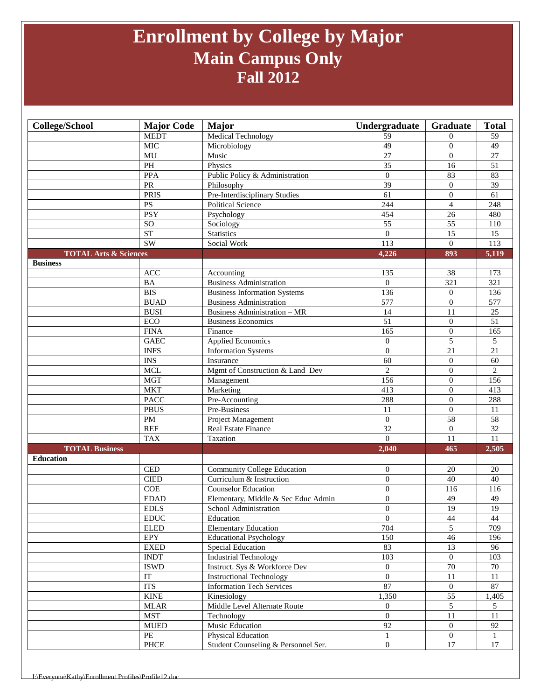## **Enrollment by College by Major Main Campus Only Fall 2012**

| College/School                   | <b>Major Code</b>            | <b>Major</b>                        | Undergraduate    | Graduate         | <b>Total</b>     |
|----------------------------------|------------------------------|-------------------------------------|------------------|------------------|------------------|
|                                  | <b>MEDT</b>                  | Medical Technology                  | 59               | $\Omega$         | 59               |
|                                  | <b>MIC</b>                   | Microbiology                        | 49               | $\mathbf{0}$     | 49               |
|                                  | MU                           | Music                               | $\overline{27}$  | $\theta$         | $\overline{27}$  |
|                                  | PH                           | Physics                             | 35               | 16               | 51               |
|                                  | PPA                          | Public Policy & Administration      | $\mathbf{0}$     | 83               | 83               |
|                                  | PR                           | Philosophy                          | 39               | $\boldsymbol{0}$ | $\overline{39}$  |
|                                  | <b>PRIS</b>                  | Pre-Interdisciplinary Studies       | $\overline{61}$  | $\mathbf{0}$     | $\overline{61}$  |
|                                  | <b>PS</b>                    | <b>Political Science</b>            | 244              | $\overline{4}$   | 248              |
|                                  | <b>PSY</b>                   | Psychology                          | 454              | 26               | 480              |
|                                  | SO <sub>1</sub>              | Sociology                           | $\overline{55}$  | 55               | 110              |
|                                  | ST                           | <b>Statistics</b>                   | $\boldsymbol{0}$ | $\overline{15}$  | 15               |
|                                  | SW                           | Social Work                         | $\overline{113}$ | $\mathbf{0}$     | $\overline{113}$ |
| <b>TOTAL Arts &amp; Sciences</b> |                              |                                     | 4,226            | 893              | 5,119            |
| <b>Business</b>                  |                              |                                     |                  |                  |                  |
|                                  | <b>ACC</b>                   | Accounting                          | 135              | 38               | 173              |
|                                  | <b>BA</b>                    | <b>Business Administration</b>      | $\overline{0}$   | 321              | 321              |
|                                  | <b>BIS</b>                   | <b>Business Information Systems</b> | 136              | $\mathbf{0}$     | 136              |
|                                  | <b>BUAD</b>                  | <b>Business Administration</b>      | 577              | $\mathbf{0}$     | 577              |
|                                  | <b>BUSI</b>                  | Business Administration - MR        | 14               | 11               | $\overline{25}$  |
|                                  | ECO                          | <b>Business Economics</b>           | $\overline{51}$  | $\boldsymbol{0}$ | $\overline{51}$  |
|                                  | <b>FINA</b>                  | Finance                             | 165              | $\theta$         | 165              |
|                                  | <b>GAEC</b>                  | <b>Applied Economics</b>            | $\overline{0}$   | 5                | 5                |
|                                  | <b>INFS</b>                  | <b>Information Systems</b>          | $\overline{0}$   | 21               | $\overline{21}$  |
|                                  | $\overline{\text{INS}}$      | Insurance                           | $\overline{60}$  | $\mathbf{0}$     | 60               |
|                                  | <b>MCL</b>                   | Mgmt of Construction & Land Dev     | $\overline{2}$   | $\boldsymbol{0}$ | $\overline{2}$   |
|                                  | <b>MGT</b>                   | Management                          | 156              | $\overline{0}$   | 156              |
|                                  | <b>MKT</b>                   | Marketing                           | 413              | $\mathbf{0}$     | 413              |
|                                  | <b>PACC</b>                  | Pre-Accounting                      | 288              | $\overline{0}$   | 288              |
|                                  | <b>PBUS</b>                  | Pre-Business                        | 11               | $\overline{0}$   | 11               |
|                                  | PM                           | Project Management                  | $\boldsymbol{0}$ | 58               | 58               |
|                                  | <b>REF</b>                   | Real Estate Finance                 | 32               | $\mathbf{0}$     | $\overline{32}$  |
|                                  | <b>TAX</b>                   | Taxation                            | $\overline{0}$   | 11               | $\overline{11}$  |
| <b>TOTAL Business</b>            |                              |                                     | 2,040            | 465              | 2,505            |
| <b>Education</b>                 |                              |                                     |                  |                  |                  |
|                                  | <b>CED</b>                   | <b>Community College Education</b>  | $\overline{0}$   | 20               | 20               |
|                                  | <b>CIED</b>                  | Curriculum & Instruction            | $\overline{0}$   | 40               | 40               |
|                                  | COE                          | <b>Counselor Education</b>          | $\overline{0}$   | 116              | 116              |
|                                  | <b>EDAD</b>                  | Elementary, Middle & Sec Educ Admin | $\boldsymbol{0}$ | 49               | 49               |
|                                  | <b>EDLS</b>                  | School Administration               | $\overline{0}$   | 19               | 19               |
|                                  | $\mathop{\rm EDUC}\nolimits$ | Education                           | $\boldsymbol{0}$ | 44               | 44               |
|                                  | <b>ELED</b>                  | <b>Elementary Education</b>         | 704              | 5                | 709              |
|                                  | <b>EPY</b>                   | Educational Psychology              | 150              | 46               | 196              |
|                                  | <b>EXED</b>                  | <b>Special Education</b>            | 83               | 13               | 96               |
|                                  | $\ensuremath{\mathsf{INDT}}$ | <b>Industrial Technology</b>        | 103              | $\overline{0}$   | 103              |
|                                  | <b>ISWD</b>                  | Instruct. Sys & Workforce Dev       | $\overline{0}$   | $\overline{70}$  | $70\,$           |
|                                  | IT                           | <b>Instructional Technology</b>     | $\overline{0}$   | $\overline{11}$  | 11               |
|                                  | <b>ITS</b>                   | <b>Information Tech Services</b>    | 87               | $\mathbf{0}$     | 87               |
|                                  | $\ensuremath{\text{KINE}}$   | Kinesiology                         | 1,350            | 55               | 1,405            |
|                                  | <b>MLAR</b>                  | Middle Level Alternate Route        | $\overline{0}$   | 5                | 5                |
|                                  | <b>MST</b>                   |                                     | $\overline{0}$   | $11\,$           | 11               |
|                                  | <b>MUED</b>                  | Technology<br>Music Education       | 92               | $\mathbf{0}$     | 92               |
|                                  | PE                           | Physical Education                  | $\mathbf{1}$     | $\boldsymbol{0}$ | 1                |
|                                  | $\ensuremath{\mathsf{PHCE}}$ | Student Counseling & Personnel Ser. | $\overline{0}$   | $\overline{17}$  | $17\,$           |
|                                  |                              |                                     |                  |                  |                  |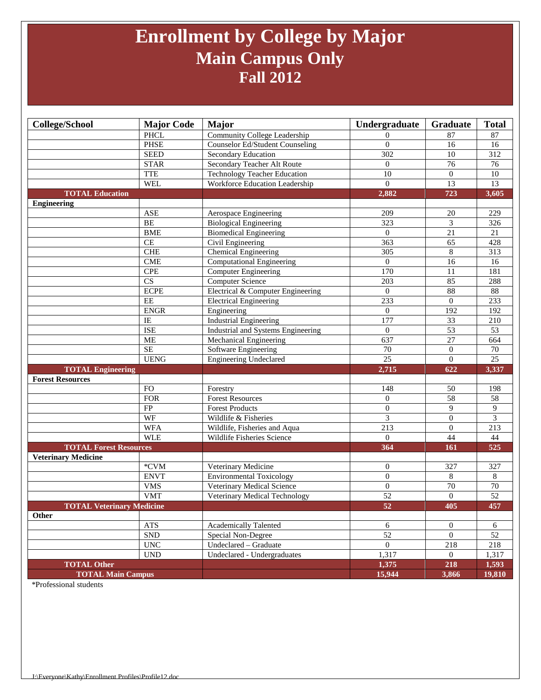## **Enrollment by College by Major Main Campus Only Fall 2012**

| <b>College/School</b>            | <b>Major Code</b>         | <b>Major</b>                       | Undergraduate    | Graduate         | <b>Total</b>     |
|----------------------------------|---------------------------|------------------------------------|------------------|------------------|------------------|
|                                  | <b>PHCL</b>               | Community College Leadership       | $\Omega$         | 87               | 87               |
|                                  | <b>PHSE</b>               | Counselor Ed/Student Counseling    | $\Omega$         | 16               | 16               |
|                                  | <b>SEED</b>               | Secondary Education                | 302              | 10               | $\overline{312}$ |
|                                  | <b>STAR</b>               | Secondary Teacher Alt Route        | $\overline{0}$   | 76               | 76               |
|                                  | <b>TTE</b>                | Technology Teacher Education       | 10               | $\overline{0}$   | 10               |
|                                  | <b>WEL</b>                | Workforce Education Leadership     | $\overline{0}$   | 13               | 13               |
| <b>TOTAL Education</b>           |                           |                                    | 2,882            | 723              | 3,605            |
| <b>Engineering</b>               |                           |                                    |                  |                  |                  |
|                                  | <b>ASE</b>                | Aerospace Engineering              | 209              | 20               | 229              |
|                                  | <b>BE</b>                 | <b>Biological Engineering</b>      | 323              | 3                | 326              |
|                                  | <b>BME</b>                | <b>Biomedical Engineering</b>      | $\overline{0}$   | 21               | 21               |
|                                  | CE                        | Civil Engineering                  | 363              | 65               | 428              |
|                                  | <b>CHE</b>                | Chemical Engineering               | 305              | $\,8\,$          | 313              |
|                                  | <b>CME</b>                | <b>Computational Engineering</b>   | $\overline{0}$   | $\overline{16}$  | 16               |
|                                  | <b>CPE</b>                | <b>Computer Engineering</b>        | 170              | 11               | 181              |
|                                  | CS                        | <b>Computer Science</b>            | 203              | 85               | 288              |
|                                  | <b>ECPE</b>               | Electrical & Computer Engineering  | $\mathbf{0}$     | 88               | $88\,$           |
|                                  | EE                        | <b>Electrical Engineering</b>      | 233              | $\overline{0}$   | 233              |
|                                  | <b>ENGR</b>               | Engineering                        | $\mathbf{0}$     | 192              | 192              |
|                                  | IE                        | <b>Industrial Engineering</b>      | 177              | 33               | 210              |
|                                  | <b>ISE</b>                | Industrial and Systems Engineering | $\overline{0}$   | $\overline{53}$  | $\overline{53}$  |
|                                  | <b>ME</b>                 | Mechanical Engineering             | 637              | $\overline{27}$  | 664              |
|                                  | <b>SE</b>                 | Software Engineering               | 70               | $\boldsymbol{0}$ | 70               |
|                                  | <b>UENG</b>               | <b>Engineering Undeclared</b>      | $\overline{25}$  | $\overline{0}$   | $\overline{25}$  |
| <b>TOTAL Engineering</b>         |                           |                                    | 2,715            | 622              | 3,337            |
| <b>Forest Resources</b>          |                           |                                    |                  |                  |                  |
|                                  | <b>FO</b>                 | Forestry                           | 148              | 50               | 198              |
|                                  | <b>FOR</b>                | <b>Forest Resources</b>            | $\overline{0}$   | $\overline{58}$  | 58               |
|                                  | FP                        | <b>Forest Products</b>             | $\boldsymbol{0}$ | 9                | 9                |
|                                  | WF                        | Wildlife & Fisheries               | 3                | $\mathbf{0}$     | 3                |
|                                  | <b>WFA</b>                | Wildlife, Fisheries and Aqua       | 213              | $\boldsymbol{0}$ | 213              |
|                                  | <b>WLE</b>                | Wildlife Fisheries Science         | $\mathbf{0}$     | 44               | 44               |
| <b>TOTAL Forest Resources</b>    |                           |                                    | 364              | 161              | 525              |
| <b>Veterinary Medicine</b>       |                           |                                    |                  |                  |                  |
|                                  | *CVM                      | Veterinary Medicine                | $\mathbf{0}$     | 327              | 327              |
|                                  | <b>ENVT</b>               | <b>Environmental Toxicology</b>    | $\boldsymbol{0}$ | 8                | 8                |
|                                  | <b>VMS</b>                | Veterinary Medical Science         | $\boldsymbol{0}$ | 70               | 70               |
|                                  | <b>VMT</b>                | Veterinary Medical Technology      | $\overline{52}$  | $\overline{0}$   | 52               |
| <b>TOTAL Veterinary Medicine</b> |                           |                                    | 52               | 405              | 457              |
| Other                            |                           |                                    |                  |                  |                  |
|                                  | <b>ATS</b>                | <b>Academically Talented</b>       | 6                | $\boldsymbol{0}$ | 6                |
|                                  | ${\rm SND}$               | Special Non-Degree                 | 52               | $\overline{0}$   | 52               |
|                                  | $\ensuremath{\text{UNC}}$ | Undeclared - Graduate              | $\overline{0}$   | 218              | 218              |
|                                  | <b>UND</b>                | Undeclared - Undergraduates        | 1,317            | $\overline{0}$   | 1,317            |
| <b>TOTAL Other</b>               |                           |                                    | 1,375            | 218              | 1,593            |
| <b>TOTAL Main Campus</b>         |                           |                                    | 15,944           | 3,866            | 19,810           |

\*Professional students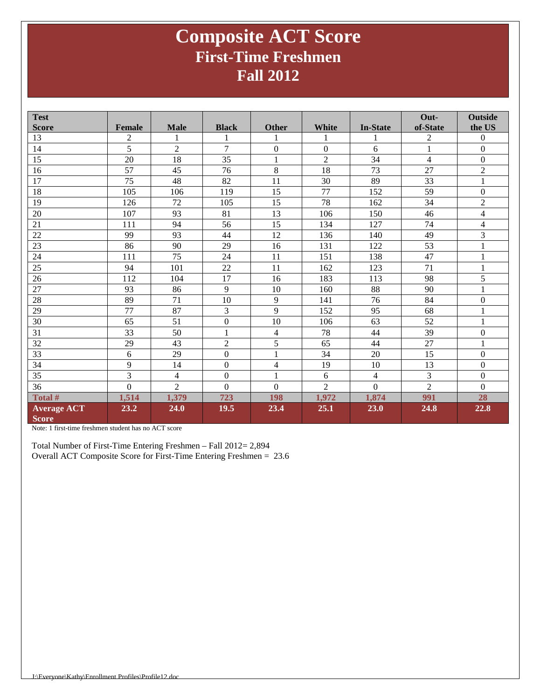### **Composite ACT Score First-Time Freshmen Fall 2012**

| <b>Test</b>        |               |                |                  |                  |                  |                 | Out-           | <b>Outside</b>   |
|--------------------|---------------|----------------|------------------|------------------|------------------|-----------------|----------------|------------------|
| <b>Score</b>       | <b>Female</b> | <b>Male</b>    | <b>Black</b>     | <b>Other</b>     | <b>White</b>     | <b>In-State</b> | of-State       | the US           |
| 13                 | 2             |                |                  | 1                |                  |                 | $\overline{c}$ | $\mathbf{0}$     |
| 14                 | 5             | $\overline{2}$ | $\overline{7}$   | $\mathbf{0}$     | $\boldsymbol{0}$ | 6               | $\mathbf{1}$   | $\mathbf{0}$     |
| 15                 | 20            | 18             | 35               | $\mathbf{1}$     | $\overline{2}$   | 34              | $\overline{4}$ | $\boldsymbol{0}$ |
| 16                 | 57            | 45             | 76               | 8                | 18               | 73              | 27             | $\overline{2}$   |
| 17                 | 75            | 48             | 82               | 11               | 30               | 89              | 33             | $\mathbf{1}$     |
| 18                 | 105           | 106            | 119              | 15               | 77               | 152             | 59             | $\boldsymbol{0}$ |
| 19                 | 126           | 72             | 105              | 15               | 78               | 162             | 34             | $\overline{2}$   |
| 20                 | 107           | 93             | 81               | 13               | 106              | 150             | 46             | $\overline{4}$   |
| 21                 | 111           | 94             | 56               | 15               | 134              | 127             | 74             | $\overline{4}$   |
| 22                 | 99            | 93             | 44               | 12               | 136              | 140             | 49             | $\mathfrak{Z}$   |
| $\overline{23}$    | 86            | 90             | 29               | 16               | 131              | 122             | 53             | $\mathbf{1}$     |
| 24                 | 111           | 75             | 24               | 11               | 151              | 138             | 47             | $\mathbf{1}$     |
| 25                 | 94            | 101            | 22               | 11               | 162              | 123             | 71             | $\mathbf{1}$     |
| 26                 | 112           | 104            | 17               | 16               | 183              | 113             | 98             | 5                |
| 27                 | 93            | 86             | 9                | 10               | 160              | 88              | 90             | $\mathbf{1}$     |
| 28                 | 89            | 71             | 10               | 9                | 141              | 76              | 84             | $\boldsymbol{0}$ |
| 29                 | 77            | 87             | 3                | 9                | 152              | 95              | 68             | $\mathbf{1}$     |
| 30                 | 65            | 51             | $\boldsymbol{0}$ | 10               | 106              | 63              | 52             | $\mathbf{1}$     |
| 31                 | 33            | 50             | 1                | $\overline{4}$   | 78               | 44              | 39             | $\boldsymbol{0}$ |
| 32                 | 29            | 43             | $\overline{c}$   | $\overline{5}$   | 65               | 44              | 27             | $\mathbf{1}$     |
| 33                 | 6             | 29             | $\mathbf{0}$     | $\mathbf{1}$     | 34               | 20              | 15             | $\boldsymbol{0}$ |
| 34                 | 9             | 14             | $\boldsymbol{0}$ | $\overline{4}$   | 19               | 10              | 13             | $\boldsymbol{0}$ |
| 35                 | 3             | $\overline{4}$ | $\mathbf{0}$     | $\mathbf{1}$     | 6                | $\overline{4}$  | 3              | $\boldsymbol{0}$ |
| 36                 | $\mathbf{0}$  | $\overline{2}$ | $\mathbf{0}$     | $\boldsymbol{0}$ | $\overline{2}$   | $\overline{0}$  | $\overline{2}$ | $\boldsymbol{0}$ |
| Total #            | 1,514         | 1,379          | 723              | 198              | 1,972            | 1,874           | 991            | 28               |
| <b>Average ACT</b> | 23.2          | 24.0           | 19.5             | 23.4             | 25.1             | 23.0            | 24.8           | 22.8             |
| <b>Score</b>       |               |                |                  |                  |                  |                 |                |                  |

Note: 1 first-time freshmen student has no ACT score

Total Number of First-Time Entering Freshmen – Fall 2012= 2,894 Overall ACT Composite Score for First-Time Entering Freshmen = 23.6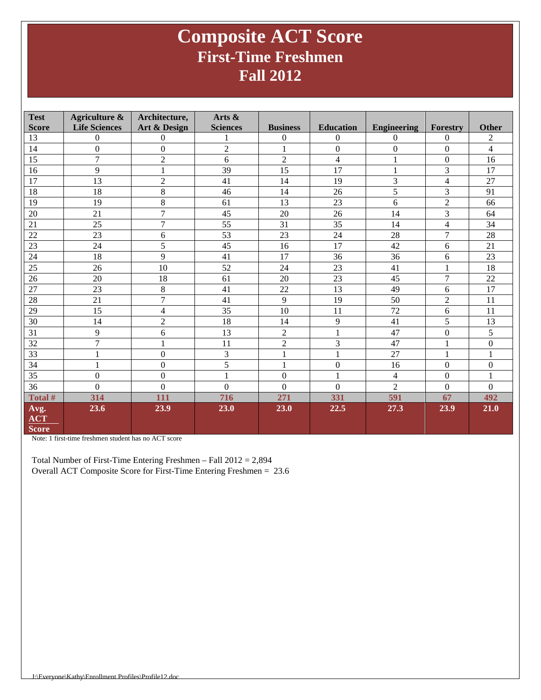### **Composite ACT Score First-Time Freshmen Fall 2012**

| <b>Test</b>                        | <b>Agriculture &amp;</b> | Architecture,    | Arts &           |                  |                  |                    |                          |                  |
|------------------------------------|--------------------------|------------------|------------------|------------------|------------------|--------------------|--------------------------|------------------|
| <b>Score</b>                       | <b>Life Sciences</b>     | Art & Design     | <b>Sciences</b>  | <b>Business</b>  | <b>Education</b> | <b>Engineering</b> | Forestry                 | <b>Other</b>     |
| 13                                 | $\mathbf{0}$             | $\mathbf{0}$     | 1                | $\mathbf{0}$     | $\Omega$         | $\mathbf{0}$       | $\boldsymbol{0}$         | $\overline{2}$   |
| 14                                 | $\theta$                 | $\Omega$         | $\overline{2}$   |                  | $\Omega$         | $\boldsymbol{0}$   | $\theta$                 | $\overline{4}$   |
| 15                                 | 7                        | $\overline{2}$   | 6                | $\overline{2}$   | $\overline{4}$   | $\mathbf{1}$       | $\Omega$                 | 16               |
| 16                                 | 9                        | $\mathbf{1}$     | 39               | 15               | 17               | $\mathbf{1}$       | 3                        | 17               |
| 17                                 | 13                       | $\overline{2}$   | 41               | 14               | 19               | 3                  | $\overline{\mathcal{L}}$ | 27               |
| 18                                 | 18                       | 8                | 46               | 14               | 26               | 5                  | 3                        | 91               |
| 19                                 | 19                       | 8                | 61               | 13               | 23               | 6                  | $\overline{2}$           | 66               |
| 20                                 | 21                       | 7                | 45               | 20               | 26               | 14                 | 3                        | 64               |
| 21                                 | 25                       | $\overline{7}$   | 55               | 31               | 35               | 14                 | 4                        | 34               |
| 22                                 | 23                       | 6                | 53               | 23               | 24               | 28                 | 7                        | 28               |
| 23                                 | 24                       | 5                | 45               | 16               | 17               | 42                 | 6                        | 21               |
| 24                                 | 18                       | 9                | 41               | 17               | 36               | 36                 | 6                        | 23               |
| 25                                 | 26                       | 10               | 52               | 24               | 23               | 41                 | 1                        | 18               |
| 26                                 | 20                       | 18               | 61               | 20               | 23               | 45                 | $\overline{7}$           | 22               |
| 27                                 | 23                       | 8                | 41               | 22               | 13               | 49                 | 6                        | 17               |
| 28                                 | 21                       | $\overline{7}$   | 41               | 9                | 19               | 50                 | $\overline{c}$           | 11               |
| 29                                 | 15                       | 4                | 35               | 10               | 11               | 72                 | 6                        | 11               |
| 30                                 | 14                       | $\overline{2}$   | 18               | 14               | 9                | 41                 | 5                        | 13               |
| 31                                 | 9                        | 6                | 13               | $\overline{2}$   | $\mathbf{1}$     | 47                 | $\boldsymbol{0}$         | 5                |
| 32                                 | 7                        | $\mathbf{1}$     | 11               | $\sqrt{2}$       | 3                | 47                 | $\,1$                    | $\boldsymbol{0}$ |
| 33                                 | $\mathbf{1}$             | $\boldsymbol{0}$ | 3                | $\mathbf{1}$     | $\mathbf{1}$     | 27                 | $\mathbf{1}$             | 1                |
| 34                                 | 1                        | $\boldsymbol{0}$ | 5                | 1                | $\boldsymbol{0}$ | 16                 | $\boldsymbol{0}$         | $\boldsymbol{0}$ |
| 35                                 | $\boldsymbol{0}$         | $\boldsymbol{0}$ | 1                | $\mathbf{0}$     | 1                | $\overline{4}$     | $\mathbf{0}$             |                  |
| 36                                 | $\overline{0}$           | $\boldsymbol{0}$ | $\boldsymbol{0}$ | $\boldsymbol{0}$ | $\Omega$         | $\overline{2}$     | $\boldsymbol{0}$         | $\Omega$         |
| Total #                            | 314                      | 111              | 716              | 271              | 331              | 591                | 67                       | 492              |
| Avg.<br><b>ACT</b><br><b>Score</b> | 23.6                     | 23.9             | 23.0             | 23.0             | 22.5             | 27.3               | 23.9                     | 21.0             |

Note: 1 first-time freshmen student has no ACT score

Total Number of First-Time Entering Freshmen – Fall 2012 = 2,894 Overall ACT Composite Score for First-Time Entering Freshmen = 23.6